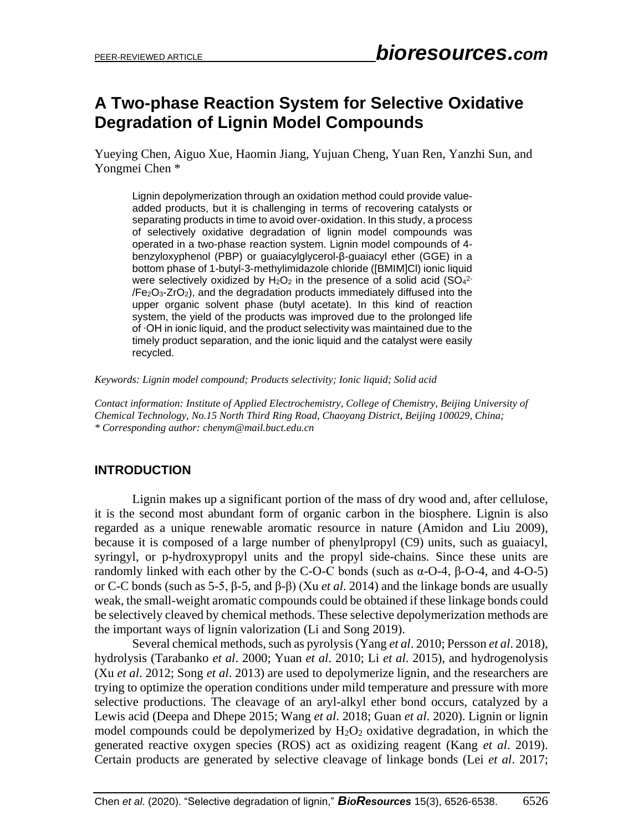# **A Two-phase Reaction System for Selective Oxidative Degradation of Lignin Model Compounds**

Yueying Chen, Aiguo Xue, Haomin Jiang, Yujuan Cheng, Yuan Ren, Yanzhi Sun, and Yongmei Chen \*

Lignin depolymerization through an oxidation method could provide valueadded products, but it is challenging in terms of recovering catalysts or separating products in time to avoid over-oxidation. In this study, a process of selectively oxidative degradation of lignin model compounds was operated in a two-phase reaction system. Lignin model compounds of 4 benzyloxyphenol (PBP) or guaiacylglycerol-β-guaiacyl ether (GGE) in a bottom phase of 1-butyl-3-methylimidazole chloride ([BMIM]Cl) ionic liquid were selectively oxidized by H<sub>2</sub>O<sub>2</sub> in the presence of a solid acid (SO<sub>4</sub><sup>2-</sup> /Fe2O3-ZrO2), and the degradation products immediately diffused into the upper organic solvent phase (butyl acetate). In this kind of reaction system, the yield of the products was improved due to the prolonged life of ∙OH in ionic liquid, and the product selectivity was maintained due to the timely product separation, and the ionic liquid and the catalyst were easily recycled.

*Keywords: Lignin model compound; Products selectivity; Ionic liquid; Solid acid*

*Contact information: Institute of Applied Electrochemistry, College of Chemistry, Beijing University of Chemical Technology, No.15 North Third Ring Road, Chaoyang District, Beijing 100029, China; \* Corresponding author: chenym@mail.buct.edu.cn*

## **INTRODUCTION**

Lignin makes up a significant portion of the mass of dry wood and, after cellulose, it is the second most abundant form of organic carbon in the biosphere. Lignin is also regarded as a unique renewable aromatic resource in nature (Amidon and Liu 2009), because it is composed of a large number of phenylpropyl (C9) units, such as guaiacyl, syringyl, or p-hydroxypropyl units and the propyl side-chains. Since these units are randomly linked with each other by the C-O-C bonds (such as  $\alpha$ -O-4, β-O-4, and 4-O-5) or C-C bonds (such as 5-5, β-5, and β-β) (Xu *et al*. 2014) and the linkage bonds are usually weak, the small-weight aromatic compounds could be obtained if these linkage bonds could be selectively cleaved by chemical methods. These selective depolymerization methods are the important ways of lignin valorization (Li and Song 2019).

Several chemical methods, such as pyrolysis (Yang *et al.* 2010; Persson *et al.* 2018), hydrolysis (Tarabanko *et al*. 2000; Yuan *et al*. 2010; Li *et al*. 2015), and hydrogenolysis (Xu *et al*. 2012; Song *et al*. 2013) are used to depolymerize lignin, and the researchers are trying to optimize the operation conditions under mild temperature and pressure with more selective productions. The cleavage of an aryl-alkyl ether bond occurs, catalyzed by a Lewis acid (Deepa and Dhepe 2015; Wang *et al*. 2018; Guan *et al*. 2020). Lignin or lignin model compounds could be depolymerized by  $H_2O_2$  oxidative degradation, in which the generated reactive oxygen species (ROS) act as oxidizing reagent (Kang *et al*. 2019). Certain products are generated by selective cleavage of linkage bonds (Lei *et al*. 2017;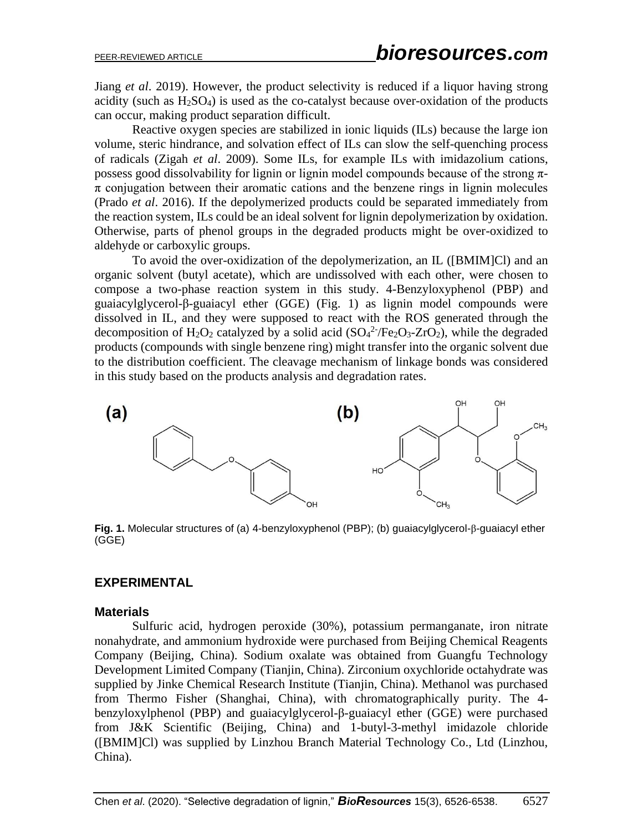Jiang *et al*. 2019). However, the product selectivity is reduced if a liquor having strong acidity (such as  $H_2SO_4$ ) is used as the co-catalyst because over-oxidation of the products can occur, making product separation difficult.

Reactive oxygen species are stabilized in ionic liquids (ILs) because the large ion volume, steric hindrance, and solvation effect of ILs can slow the self-quenching process of radicals (Zigah *et al*. 2009). Some ILs, for example ILs with imidazolium cations, possess good dissolvability for lignin or lignin model compounds because of the strong  $\pi$ - $\pi$  conjugation between their aromatic cations and the benzene rings in lignin molecules (Prado *et al*. 2016). If the depolymerized products could be separated immediately from the reaction system, ILs could be an ideal solvent for lignin depolymerization by oxidation. Otherwise, parts of phenol groups in the degraded products might be over-oxidized to aldehyde or carboxylic groups.

To avoid the over-oxidization of the depolymerization, an IL ([BMIM]Cl) and an organic solvent (butyl acetate), which are undissolved with each other, were chosen to compose a two-phase reaction system in this study. 4-Benzyloxyphenol (PBP) and guaiacylglycerol-β-guaiacyl ether (GGE) (Fig. 1) as lignin model compounds were dissolved in IL, and they were supposed to react with the ROS generated through the decomposition of H<sub>2</sub>O<sub>2</sub> catalyzed by a solid acid  $(SO<sub>4</sub><sup>2</sup>/Fe<sub>2</sub>O<sub>3</sub>-ZrO<sub>2</sub>)$ , while the degraded products (compounds with single benzene ring) might transfer into the organic solvent due to the distribution coefficient. The cleavage mechanism of linkage bonds was considered in this study based on the products analysis and degradation rates.



**Fig. 1.** Molecular structures of (a) 4-benzyloxyphenol (PBP); (b) guaiacylglycerol-β-guaiacyl ether (GGE)

## **EXPERIMENTAL**

#### **Materials**

Sulfuric acid, hydrogen peroxide (30%), potassium permanganate, iron nitrate nonahydrate, and ammonium hydroxide were purchased from Beijing Chemical Reagents Company (Beijing, China). Sodium oxalate was obtained from Guangfu Technology Development Limited Company (Tianjin, China). Zirconium oxychloride octahydrate was supplied by Jinke Chemical Research Institute (Tianjin, China). Methanol was purchased from Thermo Fisher (Shanghai, China), with chromatographically purity. The 4 benzyloxylphenol (PBP) and guaiacylglycerol-β-guaiacyl ether (GGE) were purchased from J&K Scientific (Beijing, China) and 1-butyl-3-methyl imidazole chloride ([BMIM]Cl) was supplied by Linzhou Branch Material Technology Co., Ltd (Linzhou, China).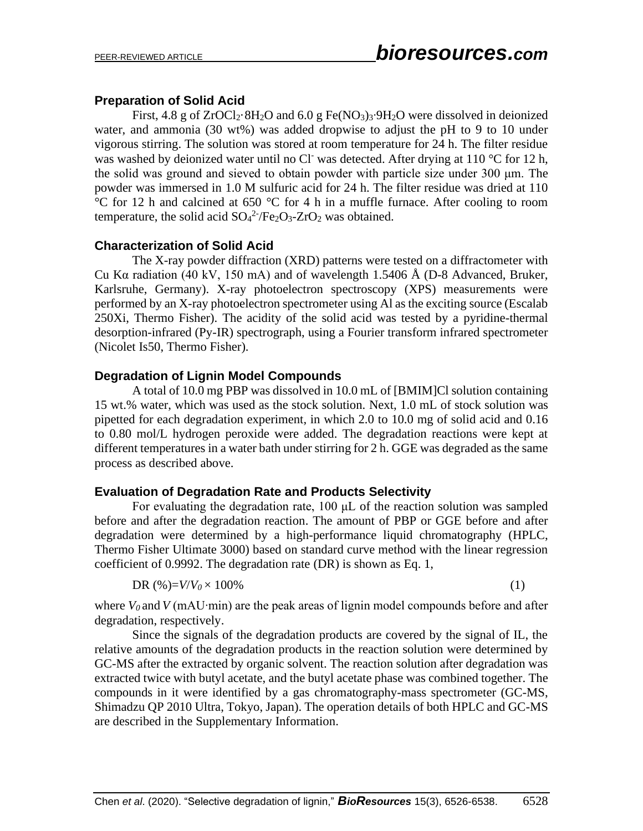### **Preparation of Solid Acid**

First, 4.8 g of ZrOCl2·8H2O and 6.0 g Fe(NO3)3∙9H2O were dissolved in deionized water, and ammonia (30 wt%) was added dropwise to adjust the pH to 9 to 10 under vigorous stirring. The solution was stored at room temperature for 24 h. The filter residue was washed by deionized water until no Cl<sup>-</sup> was detected. After drying at  $110^{\circ}$ C for  $12$  h, the solid was ground and sieved to obtain powder with particle size under 300 μm. The powder was immersed in 1.0 M sulfuric acid for 24 h. The filter residue was dried at 110 °C for 12 h and calcined at 650 °C for 4 h in a muffle furnace. After cooling to room temperature, the solid acid  $SO_4^2$ -/Fe<sub>2</sub>O<sub>3</sub>-ZrO<sub>2</sub> was obtained.

### **Characterization of Solid Acid**

The X-ray powder diffraction (XRD) patterns were tested on a diffractometer with Cu Kα radiation (40 kV, 150 mA) and of wavelength 1.5406 Å (D-8 Advanced, Bruker, Karlsruhe, Germany). X-ray photoelectron spectroscopy (XPS) measurements were performed by an X-ray photoelectron spectrometer using Al as the exciting source (Escalab 250Xi, Thermo Fisher). The acidity of the solid acid was tested by a pyridine-thermal desorption-infrared (Py-IR) spectrograph, using a Fourier transform infrared spectrometer (Nicolet Is50, Thermo Fisher).

## **Degradation of Lignin Model Compounds**

A total of 10.0 mg PBP was dissolved in 10.0 mL of [BMIM]Cl solution containing 15 wt.% water, which was used as the stock solution. Next, 1.0 mL of stock solution was pipetted for each degradation experiment, in which 2.0 to 10.0 mg of solid acid and 0.16 to 0.80 mol/L hydrogen peroxide were added. The degradation reactions were kept at different temperatures in a water bath under stirring for 2 h. GGE was degraded as the same process as described above.

## **Evaluation of Degradation Rate and Products Selectivity**

For evaluating the degradation rate, 100 μL of the reaction solution was sampled before and after the degradation reaction. The amount of PBP or GGE before and after degradation were determined by a high-performance liquid chromatography (HPLC, Thermo Fisher Ultimate 3000) based on standard curve method with the linear regression coefficient of 0.9992. The degradation rate (DR) is shown as Eq. 1,

$$
DR(\%)=V/V_0\times 100\% \tag{1}
$$

where *V<sup>0</sup>* and *V* (mAU∙min) are the peak areas of lignin model compounds before and after degradation, respectively.

Since the signals of the degradation products are covered by the signal of IL, the relative amounts of the degradation products in the reaction solution were determined by GC-MS after the extracted by organic solvent. The reaction solution after degradation was extracted twice with butyl acetate, and the butyl acetate phase was combined together. The compounds in it were identified by a gas chromatography-mass spectrometer (GC-MS, Shimadzu QP 2010 Ultra, Tokyo, Japan). The operation details of both HPLC and GC-MS are described in the Supplementary Information.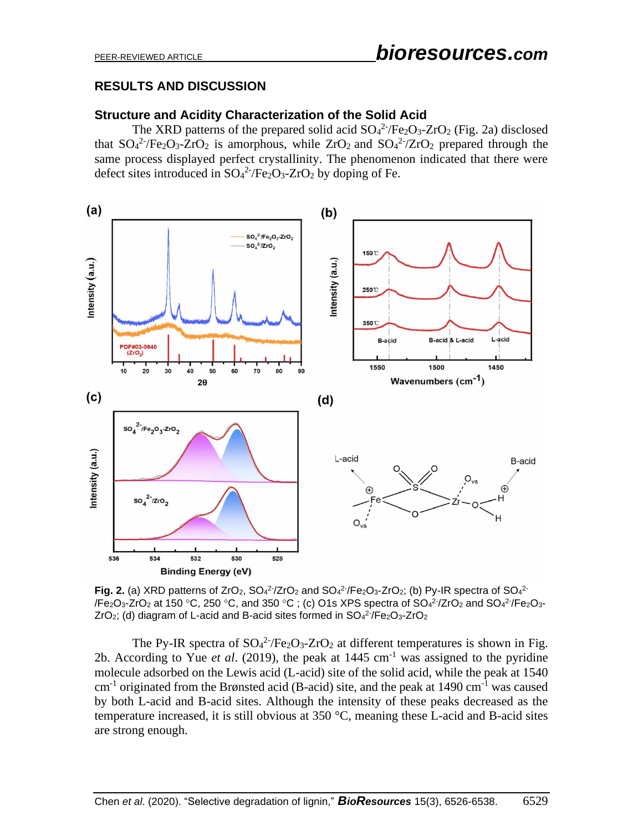# PEER-REVIEWED ARTICLE *bioresources.com*

## **RESULTS AND DISCUSSION**

### **Structure and Acidity Characterization of the Solid Acid**

The XRD patterns of the prepared solid acid  $SO_4^2$ -/Fe<sub>2</sub>O<sub>3</sub>-ZrO<sub>2</sub> (Fig. 2a) disclosed that  $SO_4^2$ -/Fe<sub>2</sub>O<sub>3</sub>-ZrO<sub>2</sub> is amorphous, while ZrO<sub>2</sub> and  $SO_4^2$ -/ZrO<sub>2</sub> prepared through the same process displayed perfect crystallinity. The phenomenon indicated that there were defect sites introduced in  $SO_4^2$ -/Fe<sub>2</sub>O<sub>3</sub>-ZrO<sub>2</sub> by doping of Fe.



Fig. 2. (a) XRD patterns of ZrO<sub>2</sub>,  $SO_4^2$ -/ZrO<sub>2</sub> and  $SO_4^2$ -/Fe<sub>2</sub>O<sub>3</sub>-ZrO<sub>2</sub>; (b) Py-IR spectra of  $SO_4^2$ -/Fe $_{2}$ O $_{3}$ -ZrO $_{2}$  at 150 °C, 250 °C, and 350 °C ; (c) O1s XPS spectra of SO $_{4}$ 2 $\cdot$ /ZrO $_{2}$  and SO $_{4}$ 2 $\cdot$ /Fe $_{2}$ O $_{3}$ -ZrO<sub>2</sub>; (d) diagram of L-acid and B-acid sites formed in SO<sub>4</sub><sup>2-</sup>/Fe<sub>2</sub>O<sub>3</sub>-ZrO<sub>2</sub>

The Py-IR spectra of  $SO_4^2$ -/Fe<sub>2</sub>O<sub>3</sub>-ZrO<sub>2</sub> at different temperatures is shown in Fig. 2b. According to Yue *et al.* (2019), the peak at  $1445 \text{ cm}^{-1}$  was assigned to the pyridine molecule adsorbed on the Lewis acid (L-acid) site of the solid acid, while the peak at 1540 cm<sup>-1</sup> originated from the Brønsted acid (B-acid) site, and the peak at 1490 cm<sup>-1</sup> was caused by both L-acid and B-acid sites. Although the intensity of these peaks decreased as the temperature increased, it is still obvious at 350 °C, meaning these L-acid and B-acid sites are strong enough.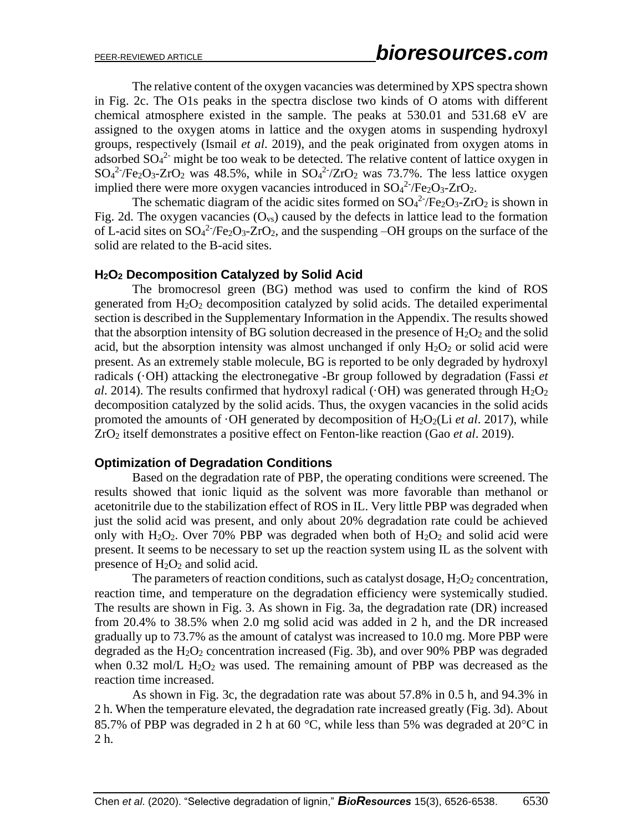The relative content of the oxygen vacancies was determined by XPS spectra shown in Fig. 2c. The O1s peaks in the spectra disclose two kinds of O atoms with different chemical atmosphere existed in the sample. The peaks at 530.01 and 531.68 eV are assigned to the oxygen atoms in lattice and the oxygen atoms in suspending hydroxyl groups, respectively (Ismail *et al*. 2019), and the peak originated from oxygen atoms in adsorbed  $SO_4^2$  might be too weak to be detected. The relative content of lattice oxygen in  $SO_4^2$ -/Fe<sub>2</sub>O<sub>3</sub>-ZrO<sub>2</sub> was 48.5%, while in  $SO_4^2$ -/ZrO<sub>2</sub> was 73.7%. The less lattice oxygen implied there were more oxygen vacancies introduced in  $SO_4^2$ -/Fe<sub>2</sub>O<sub>3</sub>-ZrO<sub>2</sub>.

The schematic diagram of the acidic sites formed on  $SO_4^2$ -/Fe<sub>2</sub>O<sub>3</sub>-ZrO<sub>2</sub> is shown in Fig. 2d. The oxygen vacancies  $(O_{vs})$  caused by the defects in lattice lead to the formation of L-acid sites on  $SO_4^2$ -/Fe<sub>2</sub>O<sub>3</sub>-ZrO<sub>2</sub>, and the suspending -OH groups on the surface of the solid are related to the B-acid sites.

### **H2O<sup>2</sup> Decomposition Catalyzed by Solid Acid**

The bromocresol green (BG) method was used to confirm the kind of ROS generated from  $H_2O_2$  decomposition catalyzed by solid acids. The detailed experimental section is described in the Supplementary Information in the Appendix. The results showed that the absorption intensity of BG solution decreased in the presence of  $H_2O_2$  and the solid acid, but the absorption intensity was almost unchanged if only  $H_2O_2$  or solid acid were present. As an extremely stable molecule, BG is reported to be only degraded by hydroxyl radicals (·OH) attacking the electronegative -Br group followed by degradation (Fassi *et al*. 2014). The results confirmed that hydroxyl radical ( $\cdot$ OH) was generated through  $H_2O_2$ decomposition catalyzed by the solid acids. Thus, the oxygen vacancies in the solid acids promoted the amounts of  $\cdot$ OH generated by decomposition of H<sub>2</sub>O<sub>2</sub>(Li *et al.* 2017), while ZrO<sup>2</sup> itself demonstrates a positive effect on Fenton-like reaction (Gao *et al*. 2019).

### **Optimization of Degradation Conditions**

Based on the degradation rate of PBP, the operating conditions were screened. The results showed that ionic liquid as the solvent was more favorable than methanol or acetonitrile due to the stabilization effect of ROS in IL. Very little PBP was degraded when just the solid acid was present, and only about 20% degradation rate could be achieved only with  $H_2O_2$ . Over 70% PBP was degraded when both of  $H_2O_2$  and solid acid were present. It seems to be necessary to set up the reaction system using IL as the solvent with presence of  $H_2O_2$  and solid acid.

The parameters of reaction conditions, such as catalyst dosage,  $H_2O_2$  concentration, reaction time, and temperature on the degradation efficiency were systemically studied. The results are shown in Fig. 3. As shown in Fig. 3a, the degradation rate (DR) increased from 20.4% to 38.5% when 2.0 mg solid acid was added in 2 h, and the DR increased gradually up to 73.7% as the amount of catalyst was increased to 10.0 mg. More PBP were degraded as the  $H_2O_2$  concentration increased (Fig. 3b), and over 90% PBP was degraded when 0.32 mol/L  $H_2O_2$  was used. The remaining amount of PBP was decreased as the reaction time increased.

As shown in Fig. 3c, the degradation rate was about 57.8% in 0.5 h, and 94.3% in 2 h. When the temperature elevated, the degradation rate increased greatly (Fig. 3d). About 85.7% of PBP was degraded in 2 h at 60  $^{\circ}$ C, while less than 5% was degraded at 20 $^{\circ}$ C in 2 h.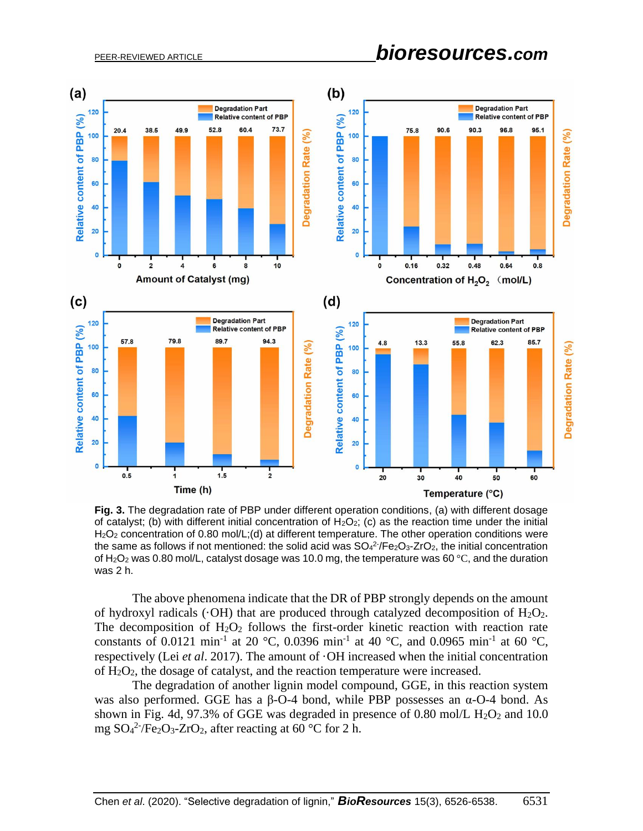# PEER-REVIEWED ARTICLE *bioresources.com*



**Fig. 3.** The degradation rate of PBP under different operation conditions, (a) with different dosage of catalyst; (b) with different initial concentration of  $H_2O_2$ ; (c) as the reaction time under the initial H<sub>2</sub>O<sub>2</sub> concentration of 0.80 mol/L;(d) at different temperature. The other operation conditions were the same as follows if not mentioned: the solid acid was  $SO_4^2$  /Fe<sub>2</sub>O<sub>3</sub>-ZrO<sub>2</sub>, the initial concentration of H<sub>2</sub>O<sub>2</sub> was 0.80 mol/L, catalyst dosage was 10.0 mg, the temperature was 60 °C, and the duration was 2 h.

The above phenomena indicate that the DR of PBP strongly depends on the amount of hydroxyl radicals ( $\cdot$ OH) that are produced through catalyzed decomposition of H<sub>2</sub>O<sub>2</sub>. The decomposition of  $H_2O_2$  follows the first-order kinetic reaction with reaction rate constants of 0.0121 min<sup>-1</sup> at 20 °C, 0.0396 min<sup>-1</sup> at 40 °C, and 0.0965 min<sup>-1</sup> at 60 °C, respectively (Lei *et al*. 2017). The amount of ·OH increased when the initial concentration of  $H_2O_2$ , the dosage of catalyst, and the reaction temperature were increased.

The degradation of another lignin model compound, GGE, in this reaction system was also performed. GGE has a β-O-4 bond, while PBP possesses an α-O-4 bond. As shown in Fig. 4d, 97.3% of GGE was degraded in presence of 0.80 mol/L  $H_2O_2$  and 10.0 mg  $SO_4^2$ -/Fe<sub>2</sub>O<sub>3</sub>-ZrO<sub>2</sub>, after reacting at 60 °C for 2 h.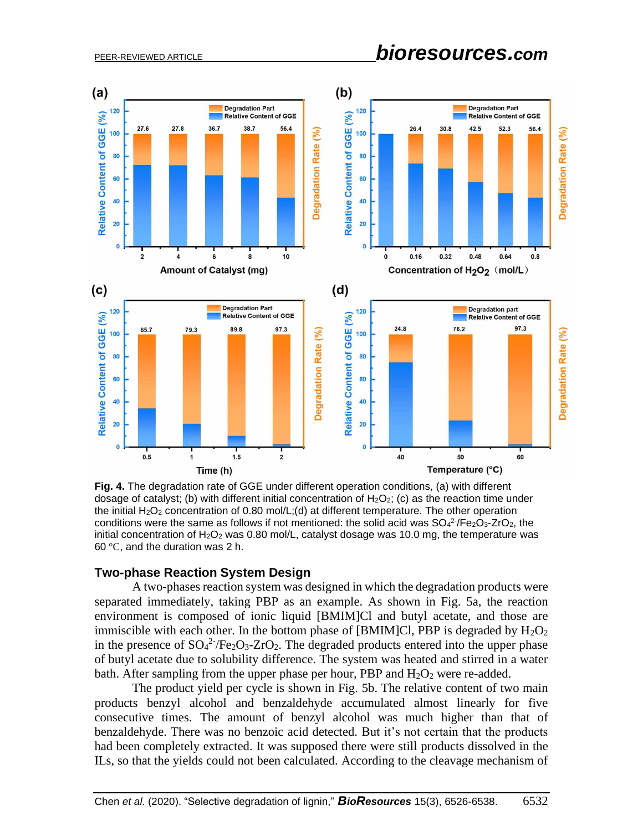# PEER-REVIEWED ARTICLE *bioresources.com*



**Fig. 4.** The degradation rate of GGE under different operation conditions, (a) with different dosage of catalyst; (b) with different initial concentration of  $H_2O_2$ ; (c) as the reaction time under the initial  $H_2O_2$  concentration of 0.80 mol/L;(d) at different temperature. The other operation conditions were the same as follows if not mentioned: the solid acid was  $SO_4^2$ -/Fe $_2O_3$ -ZrO<sub>2</sub>, the initial concentration of  $H_2O_2$  was 0.80 mol/L, catalyst dosage was 10.0 mg, the temperature was 60 °C, and the duration was 2 h.

#### **Two-phase Reaction System Design**

A two-phases reaction system was designed in which the degradation products were separated immediately, taking PBP as an example. As shown in Fig. 5a, the reaction environment is composed of ionic liquid [BMIM]Cl and butyl acetate, and those are immiscible with each other. In the bottom phase of [BMIM]Cl, PBP is degraded by  $H_2O_2$ in the presence of  $SO_4^2$ <sup>-</sup>/Fe<sub>2</sub>O<sub>3</sub>-ZrO<sub>2</sub>. The degraded products entered into the upper phase of butyl acetate due to solubility difference. The system was heated and stirred in a water bath. After sampling from the upper phase per hour, PBP and  $H_2O_2$  were re-added.

The product yield per cycle is shown in Fig. 5b. The relative content of two main products benzyl alcohol and benzaldehyde accumulated almost linearly for five consecutive times. The amount of benzyl alcohol was much higher than that of benzaldehyde. There was no benzoic acid detected. But it's not certain that the products had been completely extracted. It was supposed there were still products dissolved in the ILs, so that the yields could not been calculated. According to the cleavage mechanism of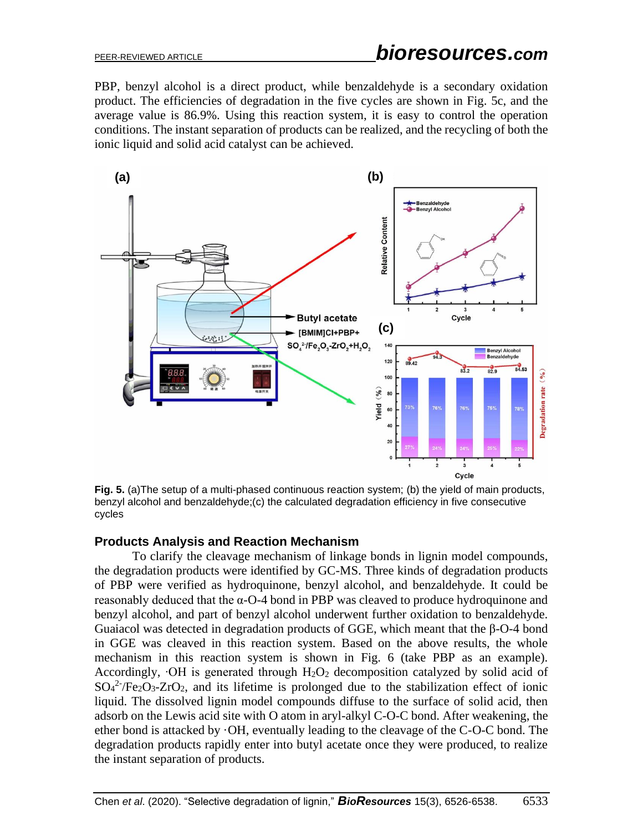PBP, benzyl alcohol is a direct product, while benzaldehyde is a secondary oxidation product. The efficiencies of degradation in the five cycles are shown in Fig. 5c, and the average value is 86.9%. Using this reaction system, it is easy to control the operation conditions. The instant separation of products can be realized, and the recycling of both the ionic liquid and solid acid catalyst can be achieved.



**Fig. 5.** (a)The setup of a multi-phased continuous reaction system; (b) the yield of main products, benzyl alcohol and benzaldehyde;(c) the calculated degradation efficiency in five consecutive cycles

## **Products Analysis and Reaction Mechanism**

To clarify the cleavage mechanism of linkage bonds in lignin model compounds, the degradation products were identified by GC-MS. Three kinds of degradation products of PBP were verified as hydroquinone, benzyl alcohol, and benzaldehyde. It could be reasonably deduced that the α-O-4 bond in PBP was cleaved to produce hydroquinone and benzyl alcohol, and part of benzyl alcohol underwent further oxidation to benzaldehyde. Guaiacol was detected in degradation products of GGE, which meant that the β-O-4 bond in GGE was cleaved in this reaction system. Based on the above results, the whole mechanism in this reaction system is shown in Fig. 6 (take PBP as an example). Accordingly,  $\cdot$ OH is generated through H<sub>2</sub>O<sub>2</sub> decomposition catalyzed by solid acid of  $SO_4^2$ -/Fe<sub>2</sub>O<sub>3</sub>-ZrO<sub>2</sub>, and its lifetime is prolonged due to the stabilization effect of ionic liquid. The dissolved lignin model compounds diffuse to the surface of solid acid, then adsorb on the Lewis acid site with O atom in aryl-alkyl C-O-C bond. After weakening, the ether bond is attacked by ·OH, eventually leading to the cleavage of the C-O-C bond. The degradation products rapidly enter into butyl acetate once they were produced, to realize the instant separation of products.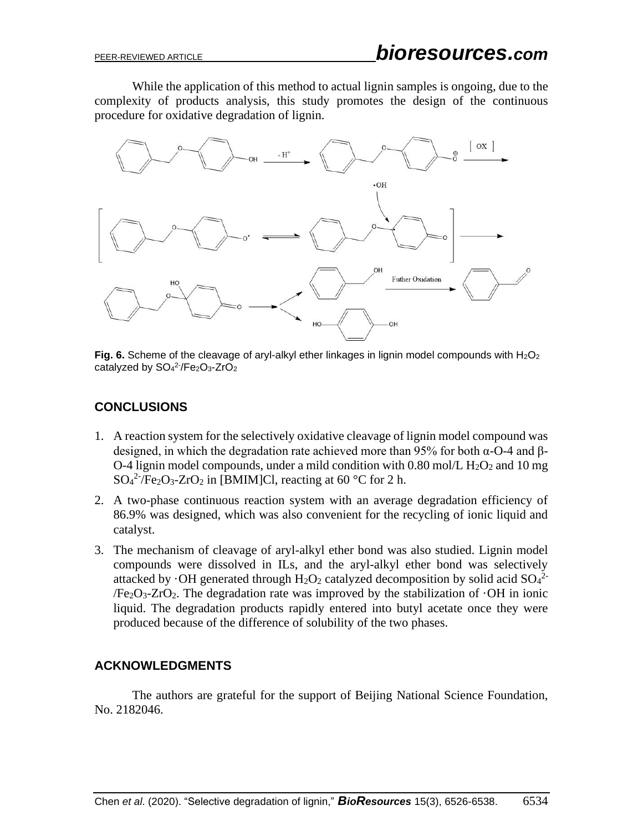While the application of this method to actual lignin samples is ongoing, due to the complexity of products analysis, this study promotes the design of the continuous procedure for oxidative degradation of lignin.



**Fig. 6.** Scheme of the cleavage of aryl-alkyl ether linkages in lignin model compounds with H<sub>2</sub>O<sub>2</sub> catalyzed by SO<sub>4</sub><sup>2-</sup>/Fe<sub>2</sub>O<sub>3</sub>-ZrO<sub>2</sub>

# **CONCLUSIONS**

- 1. A reaction system for the selectively oxidative cleavage of lignin model compound was designed, in which the degradation rate achieved more than 95% for both  $\alpha$ -O-4 and  $\beta$ -O-4 lignin model compounds, under a mild condition with 0.80 mol/L  $H_2O_2$  and 10 mg  $SO_4^2$ <sup>-</sup>/Fe<sub>2</sub>O<sub>3</sub>-ZrO<sub>2</sub> in [BMIM]Cl, reacting at 60 °C for 2 h.
- 2. A two-phase continuous reaction system with an average degradation efficiency of 86.9% was designed, which was also convenient for the recycling of ionic liquid and catalyst.
- 3. The mechanism of cleavage of aryl-alkyl ether bond was also studied. Lignin model compounds were dissolved in ILs, and the aryl-alkyl ether bond was selectively attacked by  $\cdot$ OH generated through H<sub>2</sub>O<sub>2</sub> catalyzed decomposition by solid acid SO<sub>4</sub><sup>2</sup>  $/Fe<sub>2</sub>O<sub>3</sub>$ -ZrO<sub>2</sub>. The degradation rate was improved by the stabilization of  $\cdot$ OH in ionic liquid. The degradation products rapidly entered into butyl acetate once they were produced because of the difference of solubility of the two phases.

## **ACKNOWLEDGMENTS**

The authors are grateful for the support of Beijing National Science Foundation, No. 2182046.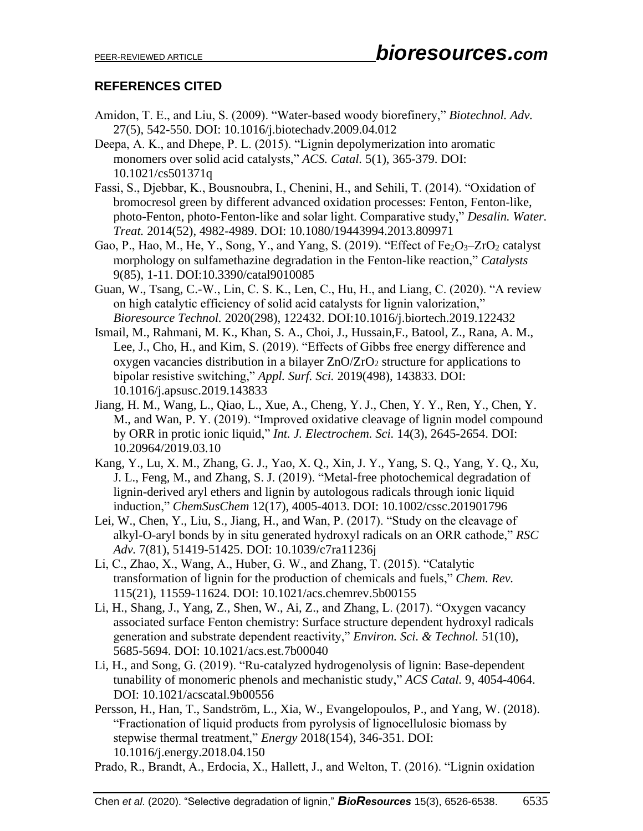## **REFERENCES CITED**

- Amidon, T. E., and Liu, S. (2009). "Water-based woody biorefinery," *Biotechnol. Adv.* 27(5), 542-550. DOI: 10.1016/j.biotechadv.2009.04.012
- Deepa, A. K., and Dhepe, P. L. (2015). "Lignin depolymerization into aromatic monomers over solid acid catalysts," *ACS. Catal.* 5(1), 365-379. DOI: 10.1021/cs501371q
- Fassi, S., Djebbar, K., Bousnoubra, I., Chenini, H., and Sehili, T. (2014). "Oxidation of bromocresol green by different advanced oxidation processes: Fenton, Fenton-like, photo-Fenton, photo-Fenton-like and solar light. Comparative study," *Desalin. Water. Treat.* 2014(52), 4982-4989. DOI: 10.1080/19443994.2013.809971
- Gao, P., Hao, M., He, Y., Song, Y., and Yang, S. (2019). "Effect of  $Fe<sub>2</sub>O<sub>3</sub>–ZrO<sub>2</sub>$  catalyst morphology on sulfamethazine degradation in the Fenton-like reaction," *Catalysts* 9(85), 1-11. DOI:10.3390/catal9010085
- Guan, W., Tsang, C.-W., Lin, C. S. K., Len, C., Hu, H., and Liang, C. (2020). "A review on high catalytic efficiency of solid acid catalysts for lignin valorization," *Bioresource Technol.* 2020(298), 122432. DOI:10.1016/j.biortech.2019.122432
- Ismail, M., Rahmani, M. K., Khan, S. A., Choi, J., Hussain,F., Batool, Z., Rana, A. M., Lee, J., Cho, H., and Kim, S. (2019). "Effects of Gibbs free energy difference and oxygen vacancies distribution in a bilayer  $ZnO/ZrO<sub>2</sub>$  structure for applications to bipolar resistive switching," *Appl. Surf. Sci.* 2019(498), 143833. DOI: 10.1016/j.apsusc.2019.143833
- Jiang, H. M., Wang, L., Qiao, L., Xue, A., Cheng, Y. J., Chen, Y. Y., Ren, Y., Chen, Y. M., and Wan, P. Y. (2019). "Improved oxidative cleavage of lignin model compound by ORR in protic ionic liquid," *Int. J. Electrochem. Sci.* 14(3), 2645-2654. DOI: 10.20964/2019.03.10
- Kang, Y., Lu, X. M., Zhang, G. J., Yao, X. Q., Xin, J. Y., Yang, S. Q., Yang, Y. Q., Xu, J. L., Feng, M., and Zhang, S. J. (2019). "Metal-free photochemical degradation of lignin-derived aryl ethers and lignin by autologous radicals through ionic liquid induction," *ChemSusChem* 12(17), 4005-4013. DOI: 10.1002/cssc.201901796
- Lei, W., Chen, Y., Liu, S., Jiang, H., and Wan, P. (2017). "Study on the cleavage of alkyl-O-aryl bonds by in situ generated hydroxyl radicals on an ORR cathode," *RSC Adv.* 7(81), 51419-51425. DOI: 10.1039/c7ra11236j
- Li, C., Zhao, X., Wang, A., Huber, G. W., and Zhang, T. (2015). "Catalytic transformation of lignin for the production of chemicals and fuels," *Chem. Rev.* 115(21), 11559-11624. DOI: 10.1021/acs.chemrev.5b00155
- Li, H., Shang, J., Yang, Z., Shen, W., Ai, Z., and Zhang, L. (2017). "Oxygen vacancy associated surface Fenton chemistry: Surface structure dependent hydroxyl radicals generation and substrate dependent reactivity," *Environ. Sci. & Technol.* 51(10), 5685-5694. DOI: 10.1021/acs.est.7b00040
- Li, H., and Song, G. (2019). "Ru-catalyzed hydrogenolysis of lignin: Base-dependent tunability of monomeric phenols and mechanistic study," *ACS Catal.* 9, 4054-4064. DOI: 10.1021/acscatal.9b00556
- Persson, H., Han, T., Sandström, L., Xia, W., Evangelopoulos, P., and Yang, W. (2018). "Fractionation of liquid products from pyrolysis of lignocellulosic biomass by stepwise thermal treatment," *Energy* 2018(154), 346-351. DOI: 10.1016/j.energy.2018.04.150
- Prado, R., Brandt, A., Erdocia, X., Hallett, J., and Welton, T. (2016). "Lignin oxidation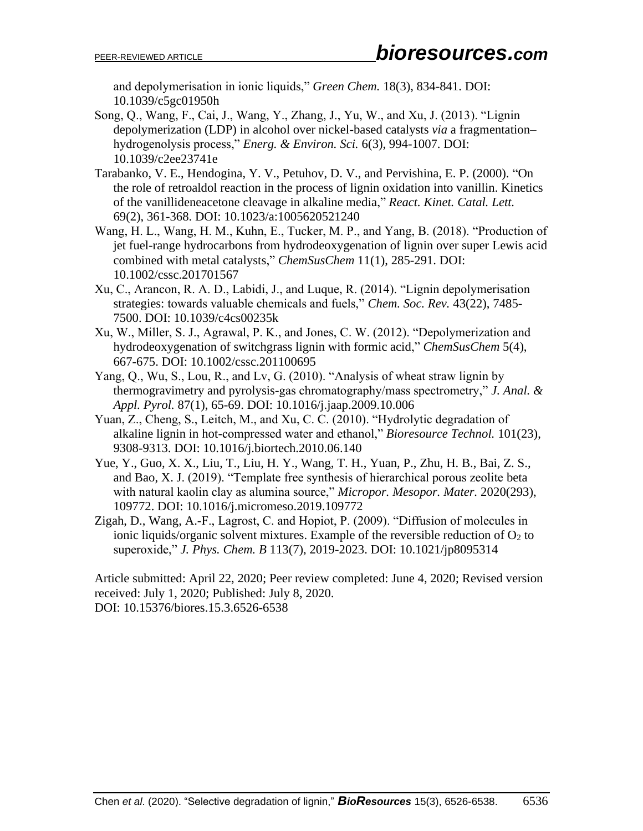and depolymerisation in ionic liquids," *Green Chem.* 18(3), 834-841. DOI: 10.1039/c5gc01950h

- Song, Q., Wang, F., Cai, J., Wang, Y., Zhang, J., Yu, W., and Xu, J. (2013). "Lignin depolymerization (LDP) in alcohol over nickel-based catalysts *via* a fragmentation– hydrogenolysis process," *Energ. & Environ. Sci.* 6(3), 994-1007. DOI: 10.1039/c2ee23741e
- Tarabanko, V. E., Hendogina, Y. V., Petuhov, D. V., and Pervishina, E. P. (2000). "On the role of retroaldol reaction in the process of lignin oxidation into vanillin. Kinetics of the vanillideneacetone cleavage in alkaline media," *React. Kinet. Catal. Lett.* 69(2), 361-368. DOI: 10.1023/a:1005620521240
- Wang, H. L., Wang, H. M., Kuhn, E., Tucker, M. P., and Yang, B. (2018). "Production of jet fuel-range hydrocarbons from hydrodeoxygenation of lignin over super Lewis acid combined with metal catalysts," *ChemSusChem* 11(1), 285-291. DOI: 10.1002/cssc.201701567
- Xu, C., Arancon, R. A. D., Labidi, J., and Luque, R. (2014). "Lignin depolymerisation strategies: towards valuable chemicals and fuels," *Chem. Soc. Rev.* 43(22), 7485- 7500. DOI: 10.1039/c4cs00235k
- Xu, W., Miller, S. J., Agrawal, P. K., and Jones, C. W. (2012). "Depolymerization and hydrodeoxygenation of switchgrass lignin with formic acid," *ChemSusChem* 5(4), 667-675. DOI: 10.1002/cssc.201100695
- Yang, Q., Wu, S., Lou, R., and Lv, G. (2010). "Analysis of wheat straw lignin by thermogravimetry and pyrolysis-gas chromatography/mass spectrometry," *J. Anal. & Appl. Pyrol.* 87(1), 65-69. DOI: 10.1016/j.jaap.2009.10.006
- Yuan, Z., Cheng, S., Leitch, M., and Xu, C. C. (2010). "Hydrolytic degradation of alkaline lignin in hot-compressed water and ethanol," *Bioresource Technol.* 101(23), 9308-9313. DOI: 10.1016/j.biortech.2010.06.140
- Yue, Y., Guo, X. X., Liu, T., Liu, H. Y., Wang, T. H., Yuan, P., Zhu, H. B., Bai, Z. S., and Bao, X. J. (2019). "Template free synthesis of hierarchical porous zeolite beta with natural kaolin clay as alumina source," *Micropor. Mesopor. Mater.* 2020(293), 109772. DOI: 10.1016/j.micromeso.2019.109772
- Zigah, D., Wang, A.-F., Lagrost, C. and Hopiot, P. (2009). "Diffusion of molecules in ionic liquids/organic solvent mixtures. Example of the reversible reduction of  $O_2$  to superoxide," *J. Phys. Chem. B* 113(7), 2019-2023. DOI: 10.1021/jp8095314

Article submitted: April 22, 2020; Peer review completed: June 4, 2020; Revised version received: July 1, 2020; Published: July 8, 2020. DOI: 10.15376/biores.15.3.6526-6538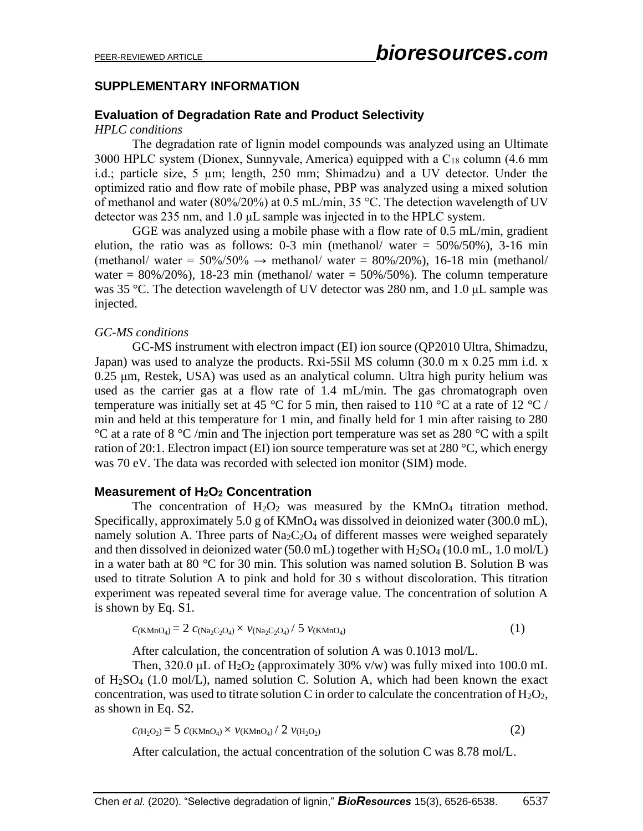## **SUPPLEMENTARY INFORMATION**

## **Evaluation of Degradation Rate and Product Selectivity**

#### *HPLC conditions*

The degradation rate of lignin model compounds was analyzed using an Ultimate 3000 HPLC system (Dionex, Sunnyvale, America) equipped with a  $C_{18}$  column (4.6 mm i.d.; particle size, 5 µm; length, 250 mm; Shimadzu) and a UV detector. Under the optimized ratio and flow rate of mobile phase, PBP was analyzed using a mixed solution of methanol and water (80%/20%) at 0.5 mL/min, 35 °C. The detection wavelength of UV detector was 235 nm, and 1.0 μL sample was injected in to the HPLC system.

GGE was analyzed using a mobile phase with a flow rate of 0.5 mL/min, gradient elution, the ratio was as follows:  $0-3$  min (methanol/ water =  $50\%/50\%$ ),  $3-16$  min (methanol/ water =  $50\%/50\% \rightarrow$  methanol/ water =  $80\%/20\%$ ), 16-18 min (methanol/ water =  $80\%/20\%$ ), 18-23 min (methanol/ water =  $50\%/50\%$ ). The column temperature was 35 °C. The detection wavelength of UV detector was 280 nm, and 1.0 μL sample was injected.

#### *GC-MS conditions*

GC-MS instrument with electron impact (EI) ion source (QP2010 Ultra, Shimadzu, Japan) was used to analyze the products. Rxi-5Sil MS column (30.0 m ⅹ 0.25 mm i.d. ⅹ 0.25 μm, Restek, USA) was used as an analytical column. Ultra high purity helium was used as the carrier gas at a flow rate of 1.4 mL/min. The gas chromatograph oven temperature was initially set at 45 °C for 5 min, then raised to 110 °C at a rate of 12 °C / min and held at this temperature for 1 min, and finally held for 1 min after raising to 280 °C at a rate of 8 °C /min and The injection port temperature was set as 280 °C with a spilt ration of 20:1. Electron impact (EI) ion source temperature was set at 280  $^{\circ}$ C, which energy was 70 eV. The data was recorded with selected ion monitor (SIM) mode.

### **Measurement of H2O<sup>2</sup> Concentration**

The concentration of  $H_2O_2$  was measured by the KMnO<sub>4</sub> titration method. Specifically, approximately 5.0 g of  $KMnO_4$  was dissolved in deionized water (300.0 mL), namely solution A. Three parts of  $Na<sub>2</sub>C<sub>2</sub>O<sub>4</sub>$  of different masses were weighed separately and then dissolved in deionized water (50.0 mL) together with  $H_2SO_4$  (10.0 mL, 1.0 mol/L) in a water bath at 80 °C for 30 min. This solution was named solution B. Solution B was used to titrate Solution A to pink and hold for 30 s without discoloration. This titration experiment was repeated several time for average value. The concentration of solution A is shown by Eq. S1.

$$
c_{(KMnO_4)} = 2 c_{(Na_2C_2O_4)} \times \nu_{(Na_2C_2O_4)} / 5 \nu_{(KMnO_4)}
$$
\n(1)

After calculation, the concentration of solution A was 0.1013 mol/L.

Then, 320.0 μL of  $H_2O_2$  (approximately 30% v/w) was fully mixed into 100.0 mL of H2SO<sup>4</sup> (1.0 mol/L), named solution C. Solution A, which had been known the exact concentration, was used to titrate solution C in order to calculate the concentration of  $H_2O_2$ , as shown in Eq. S2.

$$
c_{(H_2O_2)} = 5 c_{(KMnO_4)} \times \nu_{(KMnO_4)}/2 \nu_{(H_2O_2)}
$$
 (2)

After calculation, the actual concentration of the solution C was 8.78 mol/L.